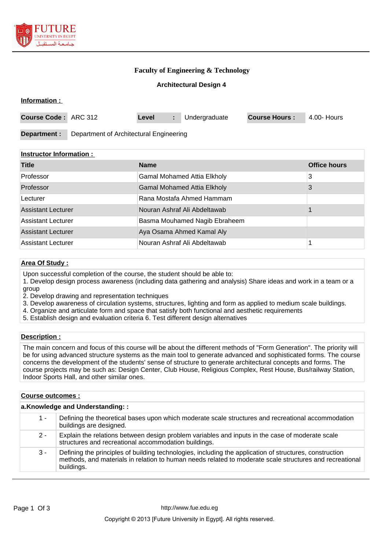

## **Faculty of Engineering & Technology**

### **Architectural Design 4**

| Information :                                           |  |       |    |               |                      |             |
|---------------------------------------------------------|--|-------|----|---------------|----------------------|-------------|
| Course Code: ARC 312                                    |  | Level | ÷. | Undergraduate | <b>Course Hours:</b> | 4.00- Hours |
| Department of Architectural Engineering<br>Department : |  |       |    |               |                      |             |
| $\blacksquare$ Instructor Information $\cdot$           |  |       |    |               |                      |             |

| <b>Name</b>                        | <b>Office hours</b> |
|------------------------------------|---------------------|
| <b>Gamal Mohamed Attia Elkholy</b> | 3                   |
| <b>Gamal Mohamed Attia Elkholy</b> | 3                   |
| Rana Mostafa Ahmed Hammam          |                     |
| Nouran Ashraf Ali Abdeltawab       |                     |
| Basma Mouhamed Nagib Ebraheem      |                     |
| Aya Osama Ahmed Kamal Aly          |                     |
| Nouran Ashraf Ali Abdeltawab       |                     |
|                                    |                     |

## **Area Of Study :**

Upon successful completion of the course, the student should be able to:

- 1. Develop design process awareness (including data gathering and analysis) Share ideas and work in a team or a group
- 2. Develop drawing and representation techniques
- 3. Develop awareness of circulation systems, structures, lighting and form as applied to medium scale buildings.
- 4. Organize and articulate form and space that satisfy both functional and aesthetic requirements
- 5. Establish design and evaluation criteria 6. Test different design alternatives

#### **Description :**

The main concern and focus of this course will be about the different methods of "Form Generation". The priority will be for using advanced structure systems as the main tool to generate advanced and sophisticated forms. The course concerns the development of the students' sense of structure to generate architectural concepts and forms. The course projects may be such as: Design Center, Club House, Religious Complex, Rest House, Bus/railway Station, Indoor Sports Hall, and other similar ones.

### **Course outcomes :**

| a.Knowledge and Understanding:: |                                                                                                                                                                                                                                  |  |  |  |
|---------------------------------|----------------------------------------------------------------------------------------------------------------------------------------------------------------------------------------------------------------------------------|--|--|--|
| 1 -                             | Defining the theoretical bases upon which moderate scale structures and recreational accommodation<br>buildings are designed.                                                                                                    |  |  |  |
| $2 -$                           | Explain the relations between design problem variables and inputs in the case of moderate scale<br>structures and recreational accommodation buildings.                                                                          |  |  |  |
| $3 -$                           | Defining the principles of building technologies, including the application of structures, construction<br>methods, and materials in relation to human needs related to moderate scale structures and recreational<br>buildings. |  |  |  |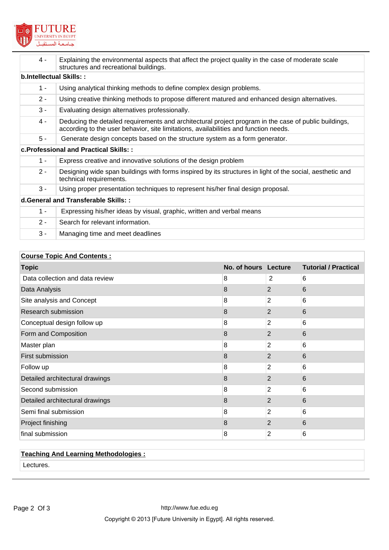

| $4 -$                                | Explaining the environmental aspects that affect the project quality in the case of moderate scale<br>structures and recreational buildings.                                                  |  |  |
|--------------------------------------|-----------------------------------------------------------------------------------------------------------------------------------------------------------------------------------------------|--|--|
|                                      | b.Intellectual Skills::                                                                                                                                                                       |  |  |
| $1 -$                                | Using analytical thinking methods to define complex design problems.                                                                                                                          |  |  |
| $2 -$                                | Using creative thinking methods to propose different matured and enhanced design alternatives.                                                                                                |  |  |
| $3 -$                                | Evaluating design alternatives professionally.                                                                                                                                                |  |  |
| $4 -$                                | Deducing the detailed requirements and architectural project program in the case of public buildings,<br>according to the user behavior, site limitations, availabilities and function needs. |  |  |
| $5 -$                                | Generate design concepts based on the structure system as a form generator.                                                                                                                   |  |  |
|                                      | c. Professional and Practical Skills: :                                                                                                                                                       |  |  |
| $1 -$                                | Express creative and innovative solutions of the design problem                                                                                                                               |  |  |
| $2 -$                                | Designing wide span buildings with forms inspired by its structures in light of the social, aesthetic and<br>technical requirements.                                                          |  |  |
| $3 -$                                | Using proper presentation techniques to represent his/her final design proposal.                                                                                                              |  |  |
| d. General and Transferable Skills:: |                                                                                                                                                                                               |  |  |
| $1 -$                                | Expressing his/her ideas by visual, graphic, written and verbal means                                                                                                                         |  |  |
| $2 -$                                | Search for relevant information.                                                                                                                                                              |  |  |
| $3 -$                                | Managing time and meet deadlines                                                                                                                                                              |  |  |

# **Course Topic And Contents :**

| <b>Topic</b>                    | No. of hours Lecture |                | <b>Tutorial / Practical</b> |
|---------------------------------|----------------------|----------------|-----------------------------|
| Data collection and data review | 8                    | 2              | 6                           |
| Data Analysis                   | 8                    | 2              | 6                           |
| Site analysis and Concept       | 8                    | 2              | 6                           |
| Research submission             | 8                    | 2              | 6                           |
| Conceptual design follow up     | 8                    | $\overline{2}$ | 6                           |
| Form and Composition            | 8                    | 2              | 6                           |
| Master plan                     | 8                    | 2              | 6                           |
| First submission                | 8                    | 2              | 6                           |
| Follow up                       | 8                    | $\overline{2}$ | 6                           |
| Detailed architectural drawings | 8                    | $\overline{2}$ | 6                           |
| Second submission               | 8                    | 2              | 6                           |
| Detailed architectural drawings | 8                    | 2              | 6                           |
| Semi final submission           | 8                    | 2              | 6                           |
| Project finishing               | 8                    | 2              | 6                           |
| final submission                | 8                    | 2              | 6                           |

# **Teaching And Learning Methodologies :**

Lectures.